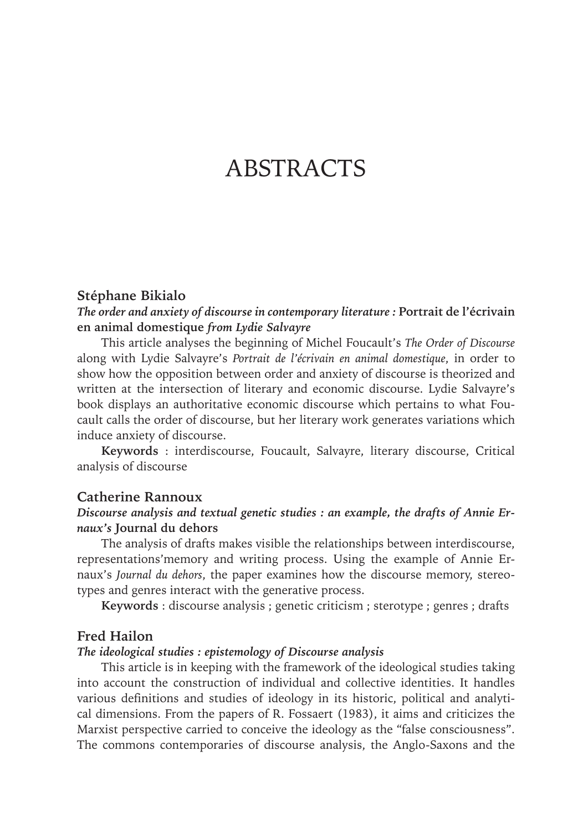# **ABSTRACTS**

#### **Stéphane Bikialo**

*The order and anxiety of discourse in contemporary literature :* **Portrait de l'écrivain en animal domestique** *from Lydie Salvayre*

This article analyses the beginning of Michel Foucault's *The Order of Discourse*  along with Lydie Salvayre's *Portrait de l'écrivain en animal domestique*, in order to show how the opposition between order and anxiety of discourse is theorized and written at the intersection of literary and economic discourse. Lydie Salvayre's book displays an authoritative economic discourse which pertains to what Foucault calls the order of discourse, but her literary work generates variations which induce anxiety of discourse.

**Keywords** : interdiscourse, Foucault, Salvayre, literary discourse, Critical analysis of discourse

## **Catherine Rannoux**

# *Discourse analysis and textual genetic studies : an example, the drafts of Annie Ernaux's* **Journal du dehors**

The analysis of drafts makes visible the relationships between interdiscourse, representations'memory and writing process. Using the example of Annie Ernaux's *Journal du dehors*, the paper examines how the discourse memory, stereotypes and genres interact with the generative process.

**Keywords** : discourse analysis ; genetic criticism ; sterotype ; genres ; drafts

## **Fred Hailon**

## *The ideological studies : epistemology of Discourse analysis*

This article is in keeping with the framework of the ideological studies taking into account the construction of individual and collective identities. It handles various definitions and studies of ideology in its historic, political and analytical dimensions. From the papers of R. Fossaert (1983), it aims and criticizes the Marxist perspective carried to conceive the ideology as the "false consciousness". The commons contemporaries of discourse analysis, the Anglo-Saxons and the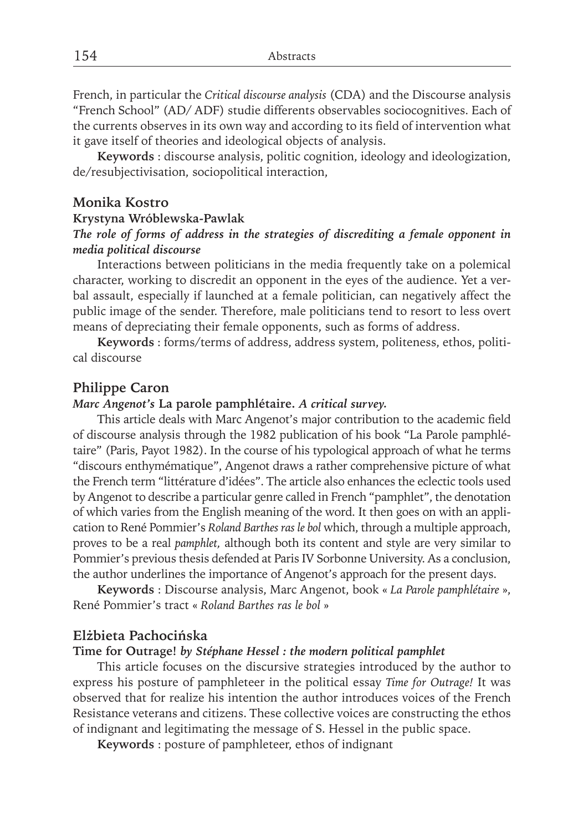French, in particular the *Critical discourse analysis* (CDA) and the Discourse analysis "French School" (AD/ ADF) studie differents observables sociocognitives. Each of the currents observes in its own way and according to its field of intervention what it gave itself of theories and ideological objects of analysis.

**Keywords** : discourse analysis, politic cognition, ideology and ideologization, de/resubjectivisation, sociopolitical interaction,

## **Monika Kostro**

#### **Krystyna Wróblewska-Pawlak**

# *The role of forms of address in the strategies of discrediting a female opponent in media political discourse*

Interactions between politicians in the media frequently take on a polemical character, working to discredit an opponent in the eyes of the audience. Yet a verbal assault, especially if launched at a female politician, can negatively affect the public image of the sender. Therefore, male politicians tend to resort to less overt means of depreciating their female opponents, such as forms of address.

**Keywords** : forms/terms of address, address system, politeness, ethos, political discourse

## **Philippe Caron**

#### *Marc Angenot's* **La parole pamphlétaire.** *A critical survey.*

This article deals with Marc Angenot's major contribution to the academic field of discourse analysis through the 1982 publication of his book "La Parole pamphlétaire" (Paris, Payot 1982). In the course of his typological approach of what he terms "discours enthymématique", Angenot draws a rather comprehensive picture of what the French term "littérature d'idées". The article also enhances the eclectic tools used by Angenot to describe a particular genre called in French "pamphlet", the denotation of which varies from the English meaning of the word. It then goes on with an application to René Pommier's *Roland Barthes ras le bol* which, through a multiple approach, proves to be a real *pamphlet,* although both its content and style are very similar to Pommier's previous thesis defended at Paris IV Sorbonne University. As a conclusion, the author underlines the importance of Angenot's approach for the present days.

**Keywords** : Discourse analysis, Marc Angenot, book « *La Parole pamphlétaire* », René Pommier's tract « *Roland Barthes ras le bol* »

## **Elżbieta Pachocińska**

#### **Time for Outrage!** *by Stéphane Hessel : the modern political pamphlet*

This article focuses on the discursive strategies introduced by the author to express his posture of pamphleteer in the political essay *Time for Outrage!* It was observed that for realize his intention the author introduces voices of the French Resistance veterans and citizens. These collective voices are constructing the ethos of indignant and legitimating the message of S. Hessel in the public space.

**Keywords** : posture of pamphleteer, ethos of indignant